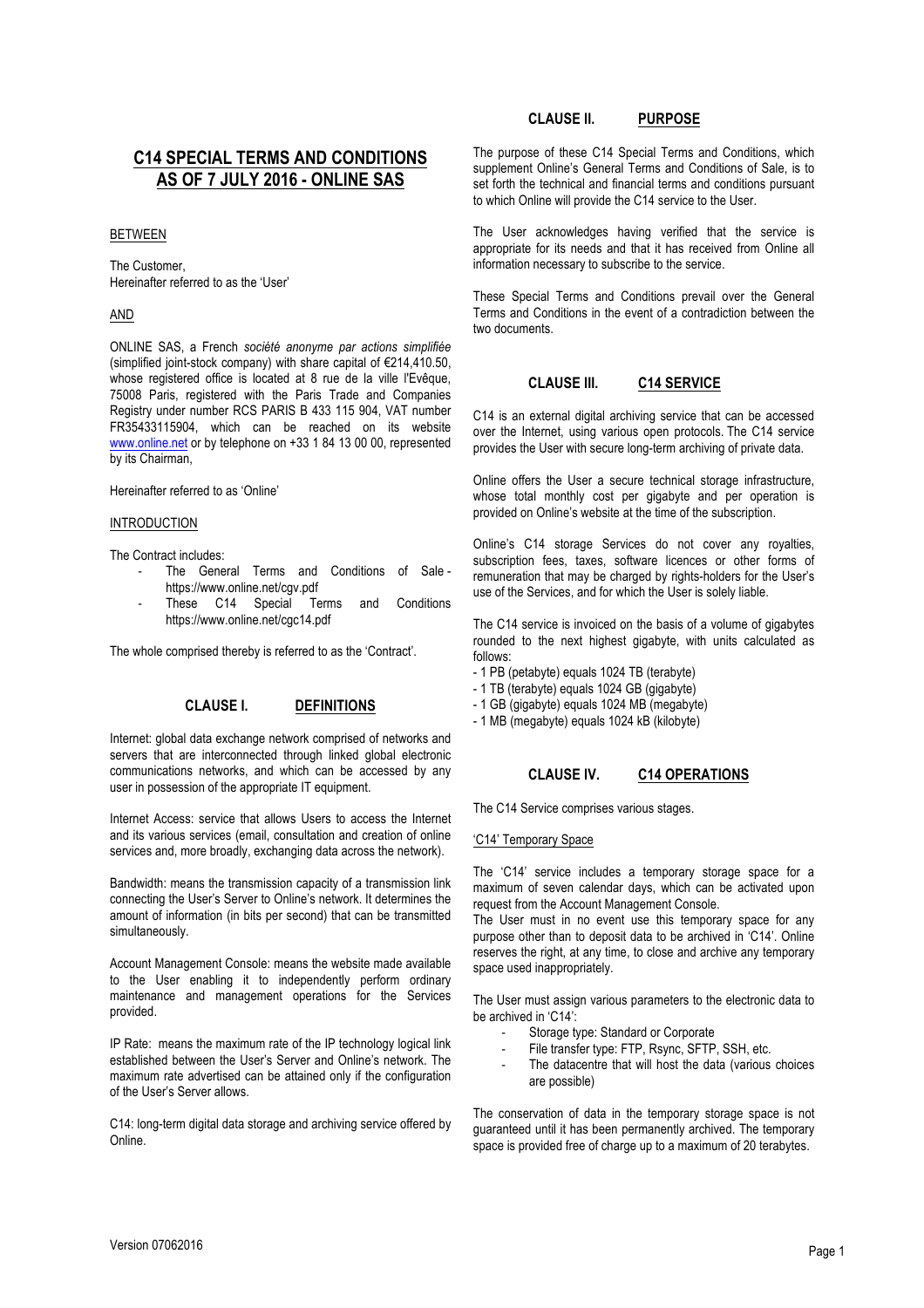# **C14 SPECIAL TERMS AND CONDITIONS AS OF 7 JULY 2016 - ONLINE SAS**

### BETWEEN

The Customer, Hereinafter referred to as the 'User'

### AND

ONLINE SAS, a French *société anonyme par actions simplifiée* (simplified joint-stock company) with share capital of €214,410.50, whose registered office is located at 8 rue de la ville l'Evêque, 75008 Paris, registered with the Paris Trade and Companies Registry under number RCS PARIS B 433 115 904, VAT number FR35433115904, which can be reached on its website www.online.net or by telephone on +33 1 84 13 00 00, represented by its Chairman,

Hereinafter referred to as 'Online'

#### INTRODUCTION

The Contract includes:

- The General Terms and Conditions of Sale https://www.online.net/cgv.pdf
- These C14 Special Terms and Conditions https://www.online.net/cgc14.pdf

The whole comprised thereby is referred to as the 'Contract'.

### **CLAUSE I. DEFINITIONS**

Internet: global data exchange network comprised of networks and servers that are interconnected through linked global electronic communications networks, and which can be accessed by any user in possession of the appropriate IT equipment.

Internet Access: service that allows Users to access the Internet and its various services (email, consultation and creation of online services and, more broadly, exchanging data across the network).

Bandwidth: means the transmission capacity of a transmission link connecting the User's Server to Online's network. It determines the amount of information (in bits per second) that can be transmitted simultaneously.

Account Management Console: means the website made available to the User enabling it to independently perform ordinary maintenance and management operations for the Services provided.

IP Rate: means the maximum rate of the IP technology logical link established between the User's Server and Online's network. The maximum rate advertised can be attained only if the configuration of the User's Server allows.

C14: long-term digital data storage and archiving service offered by Online.

## **CLAUSE II. PURPOSE**

The purpose of these C14 Special Terms and Conditions, which supplement Online's General Terms and Conditions of Sale, is to set forth the technical and financial terms and conditions pursuant to which Online will provide the C14 service to the User.

The User acknowledges having verified that the service is appropriate for its needs and that it has received from Online all information necessary to subscribe to the service.

These Special Terms and Conditions prevail over the General Terms and Conditions in the event of a contradiction between the two documents.

# **CLAUSE III. C14 SERVICE**

C14 is an external digital archiving service that can be accessed over the Internet, using various open protocols. The C14 service provides the User with secure long-term archiving of private data.

Online offers the User a secure technical storage infrastructure, whose total monthly cost per gigabyte and per operation is provided on Online's website at the time of the subscription.

Online's C14 storage Services do not cover any royalties, subscription fees, taxes, software licences or other forms of remuneration that may be charged by rights-holders for the User's use of the Services, and for which the User is solely liable.

The C14 service is invoiced on the basis of a volume of gigabytes rounded to the next highest gigabyte, with units calculated as follows:

- 1 PB (petabyte) equals 1024 TB (terabyte)
- 1 TB (terabyte) equals 1024 GB (gigabyte)
- 1 GB (gigabyte) equals 1024 MB (megabyte)

- 1 MB (megabyte) equals 1024 kB (kilobyte)

## **CLAUSE IV. C14 OPERATIONS**

The C14 Service comprises various stages.

#### 'C14' Temporary Space

The 'C14' service includes a temporary storage space for a maximum of seven calendar days, which can be activated upon request from the Account Management Console.

The User must in no event use this temporary space for any purpose other than to deposit data to be archived in 'C14'. Online reserves the right, at any time, to close and archive any temporary space used inappropriately.

The User must assign various parameters to the electronic data to be archived in 'C14':

- Storage type: Standard or Corporate
- File transfer type: FTP, Rsync, SFTP, SSH, etc.
- The datacentre that will host the data (various choices are possible)

The conservation of data in the temporary storage space is not guaranteed until it has been permanently archived. The temporary space is provided free of charge up to a maximum of 20 terabytes.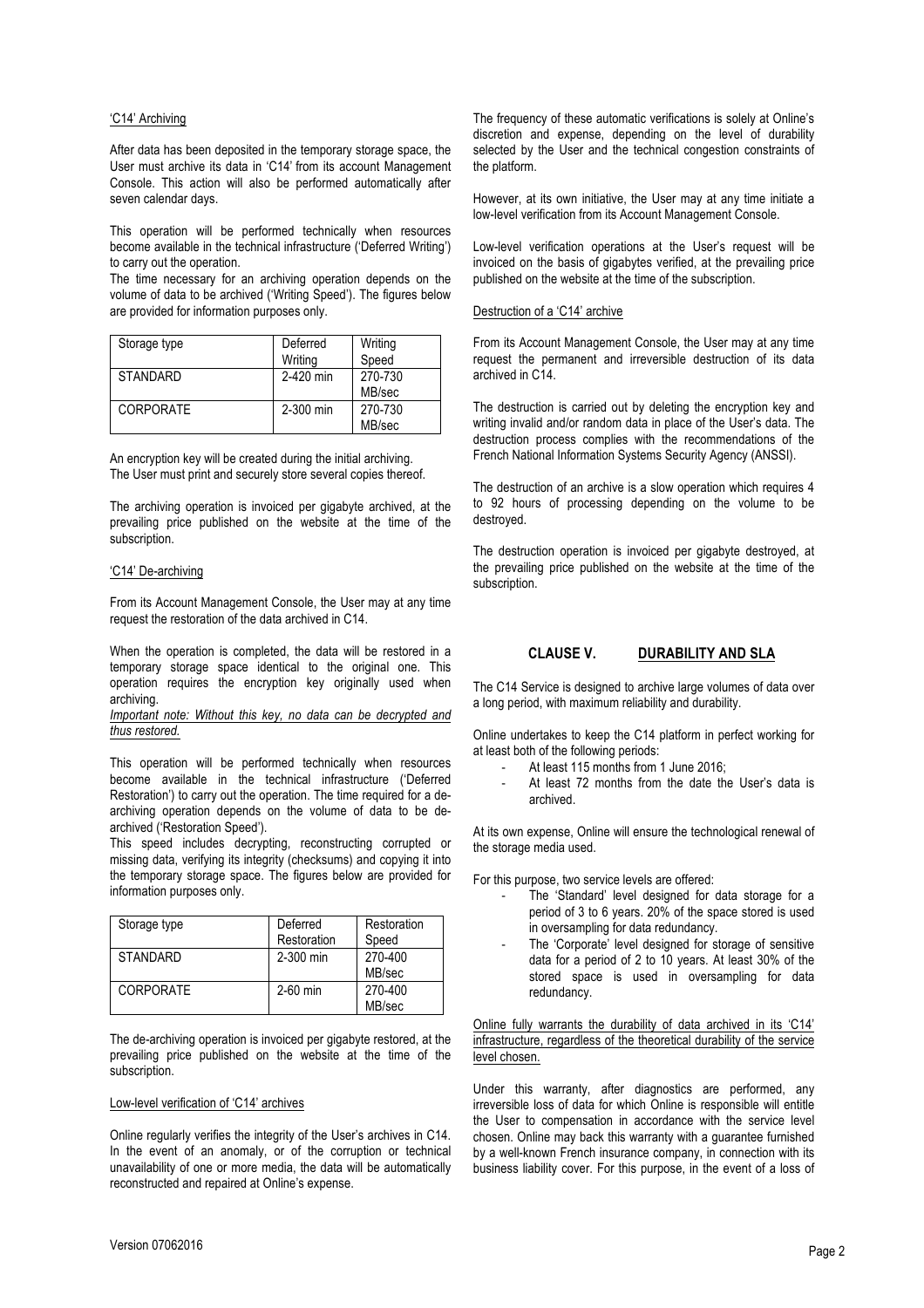### 'C14' Archiving

After data has been deposited in the temporary storage space, the User must archive its data in 'C14' from its account Management Console. This action will also be performed automatically after seven calendar days.

This operation will be performed technically when resources become available in the technical infrastructure ('Deferred Writing') to carry out the operation.

The time necessary for an archiving operation depends on the volume of data to be archived ('Writing Speed'). The figures below are provided for information purposes only.

| Storage type     | Deferred<br>Writing | Writing<br>Speed  |
|------------------|---------------------|-------------------|
| STANDARD         | 2-420 min           | 270-730<br>MB/sec |
| <b>CORPORATE</b> | 2-300 min           | 270-730<br>MB/sec |

An encryption key will be created during the initial archiving. The User must print and securely store several copies thereof.

The archiving operation is invoiced per gigabyte archived, at the prevailing price published on the website at the time of the subscription.

### 'C14' De-archiving

From its Account Management Console, the User may at any time request the restoration of the data archived in C14.

When the operation is completed, the data will be restored in a temporary storage space identical to the original one. This operation requires the encryption key originally used when archiving.

*Important note: Without this key, no data can be decrypted and thus restored.*

This operation will be performed technically when resources become available in the technical infrastructure ('Deferred Restoration') to carry out the operation. The time required for a dearchiving operation depends on the volume of data to be dearchived ('Restoration Speed').

This speed includes decrypting, reconstructing corrupted or missing data, verifying its integrity (checksums) and copying it into the temporary storage space. The figures below are provided for information purposes only.

| Storage type    | Deferred    | Restoration |  |
|-----------------|-------------|-------------|--|
|                 | Restoration | Speed       |  |
| <b>STANDARD</b> | 2-300 min   | 270-400     |  |
|                 |             | MB/sec      |  |
| CORPORATE       | $2-60$ min  | 270-400     |  |
|                 |             | MB/sec      |  |

The de-archiving operation is invoiced per gigabyte restored, at the prevailing price published on the website at the time of the subscription.

#### Low-level verification of 'C14' archives

Online regularly verifies the integrity of the User's archives in C14. In the event of an anomaly, or of the corruption or technical unavailability of one or more media, the data will be automatically reconstructed and repaired at Online's expense.

The frequency of these automatic verifications is solely at Online's discretion and expense, depending on the level of durability selected by the User and the technical congestion constraints of the platform.

However, at its own initiative, the User may at any time initiate a low-level verification from its Account Management Console.

Low-level verification operations at the User's request will be invoiced on the basis of gigabytes verified, at the prevailing price published on the website at the time of the subscription.

#### Destruction of a 'C14' archive

From its Account Management Console, the User may at any time request the permanent and irreversible destruction of its data archived in C14.

The destruction is carried out by deleting the encryption key and writing invalid and/or random data in place of the User's data. The destruction process complies with the recommendations of the French National Information Systems Security Agency (ANSSI).

The destruction of an archive is a slow operation which requires 4 to 92 hours of processing depending on the volume to be destroyed.

The destruction operation is invoiced per gigabyte destroyed, at the prevailing price published on the website at the time of the subscription.

### **CLAUSE V. DURABILITY AND SLA**

The C14 Service is designed to archive large volumes of data over a long period, with maximum reliability and durability.

Online undertakes to keep the C14 platform in perfect working for at least both of the following periods:

- At least 115 months from 1 June 2016;
- At least 72 months from the date the User's data is archived.

At its own expense, Online will ensure the technological renewal of the storage media used.

For this purpose, two service levels are offered:

- The 'Standard' level designed for data storage for a period of 3 to 6 years. 20% of the space stored is used in oversampling for data redundancy.
- The 'Corporate' level designed for storage of sensitive data for a period of 2 to 10 years. At least 30% of the stored space is used in oversampling for data redundancy.

Online fully warrants the durability of data archived in its 'C14' infrastructure, regardless of the theoretical durability of the service level chosen.

Under this warranty, after diagnostics are performed, any irreversible loss of data for which Online is responsible will entitle the User to compensation in accordance with the service level chosen. Online may back this warranty with a guarantee furnished by a well-known French insurance company, in connection with its business liability cover. For this purpose, in the event of a loss of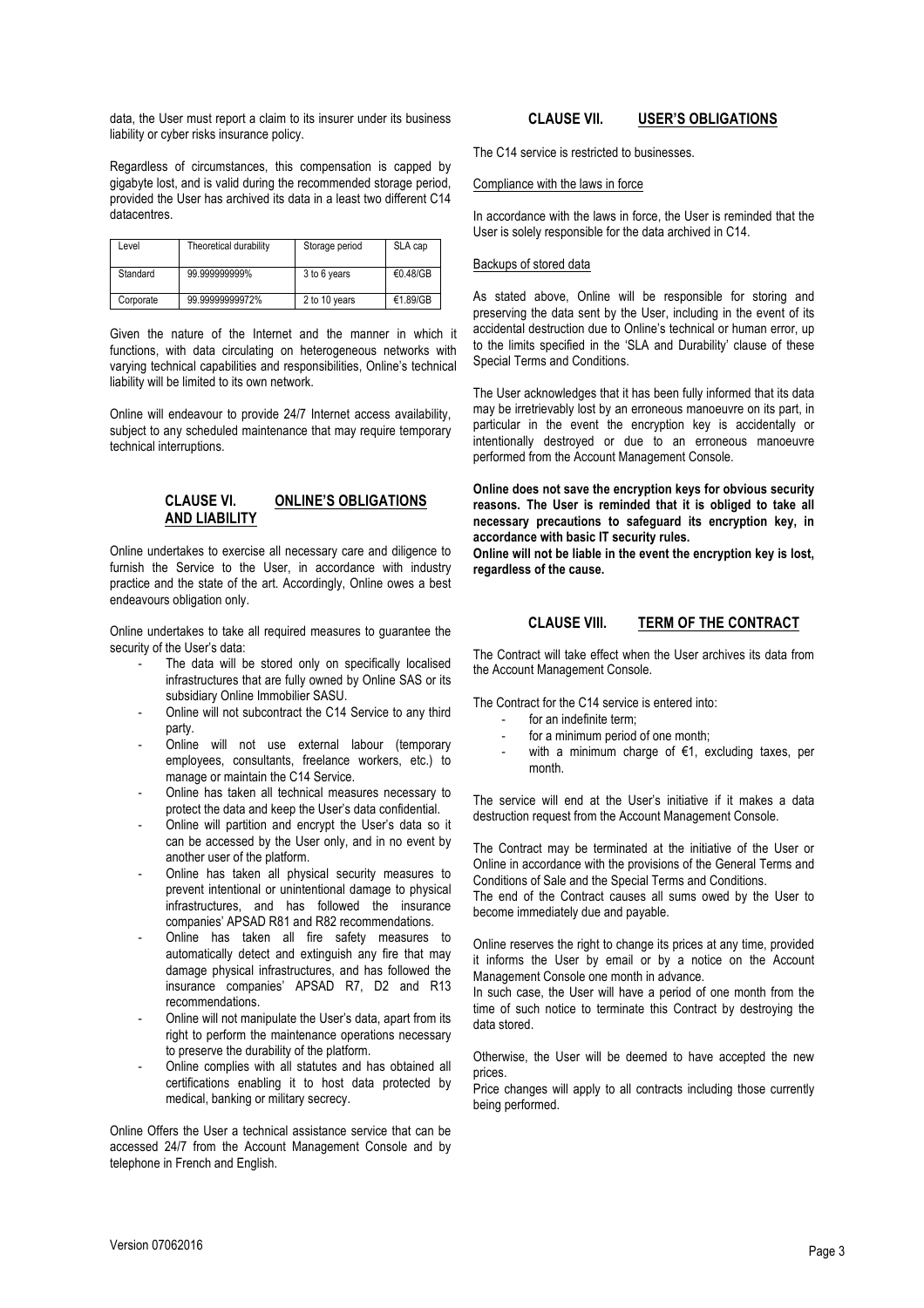Regardless of circumstances, this compensation is capped by gigabyte lost, and is valid during the recommended storage period, provided the User has archived its data in a least two different C14 datacentres.

| Level     | Theoretical durability | Storage period | SLA cap  |
|-----------|------------------------|----------------|----------|
| Standard  | 99.999999999%          | 3 to 6 years   | €0.48/GB |
| Corporate | 99.99999999972%        | 2 to 10 years  | €1.89/GB |

Given the nature of the Internet and the manner in which it functions, with data circulating on heterogeneous networks with varying technical capabilities and responsibilities, Online's technical liability will be limited to its own network.

Online will endeavour to provide 24/7 Internet access availability, subject to any scheduled maintenance that may require temporary technical interruptions.

# **CLAUSE VI. ONLINE'S OBLIGATIONS AND LIABILITY**

Online undertakes to exercise all necessary care and diligence to furnish the Service to the User, in accordance with industry practice and the state of the art. Accordingly, Online owes a best endeavours obligation only.

Online undertakes to take all required measures to guarantee the security of the User's data:

- The data will be stored only on specifically localised infrastructures that are fully owned by Online SAS or its subsidiary Online Immobilier SASU.
- Online will not subcontract the C14 Service to any third party.
- Online will not use external labour (temporary employees, consultants, freelance workers, etc.) to manage or maintain the C14 Service.
- Online has taken all technical measures necessary to protect the data and keep the User's data confidential.
- Online will partition and encrypt the User's data so it can be accessed by the User only, and in no event by another user of the platform.
- Online has taken all physical security measures to prevent intentional or unintentional damage to physical infrastructures, and has followed the insurance companies' APSAD R81 and R82 recommendations.
- Online has taken all fire safety measures to automatically detect and extinguish any fire that may damage physical infrastructures, and has followed the insurance companies' APSAD R7, D2 and R13 recommendations.
- Online will not manipulate the User's data, apart from its right to perform the maintenance operations necessary to preserve the durability of the platform.
- Online complies with all statutes and has obtained all certifications enabling it to host data protected by medical, banking or military secrecy.

Online Offers the User a technical assistance service that can be accessed 24/7 from the Account Management Console and by telephone in French and English.

# **CLAUSE VII. USER'S OBLIGATIONS**

The C14 service is restricted to businesses.

## Compliance with the laws in force

In accordance with the laws in force, the User is reminded that the User is solely responsible for the data archived in C14.

## Backups of stored data

As stated above, Online will be responsible for storing and preserving the data sent by the User, including in the event of its accidental destruction due to Online's technical or human error, up to the limits specified in the 'SLA and Durability' clause of these Special Terms and Conditions.

The User acknowledges that it has been fully informed that its data may be irretrievably lost by an erroneous manoeuvre on its part, in particular in the event the encryption key is accidentally or intentionally destroyed or due to an erroneous manoeuvre performed from the Account Management Console.

**Online does not save the encryption keys for obvious security reasons. The User is reminded that it is obliged to take all necessary precautions to safeguard its encryption key, in accordance with basic IT security rules.**

**Online will not be liable in the event the encryption key is lost, regardless of the cause.**

# **CLAUSE VIII. TERM OF THE CONTRACT**

The Contract will take effect when the User archives its data from the Account Management Console.

The Contract for the C14 service is entered into:

- for an indefinite term;
- for a minimum period of one month;
- with a minimum charge of  $\epsilon$ 1, excluding taxes, per month.

The service will end at the User's initiative if it makes a data destruction request from the Account Management Console.

The Contract may be terminated at the initiative of the User or Online in accordance with the provisions of the General Terms and Conditions of Sale and the Special Terms and Conditions.

The end of the Contract causes all sums owed by the User to become immediately due and payable.

Online reserves the right to change its prices at any time, provided it informs the User by email or by a notice on the Account Management Console one month in advance.

In such case, the User will have a period of one month from the time of such notice to terminate this Contract by destroying the data stored.

Otherwise, the User will be deemed to have accepted the new prices.

Price changes will apply to all contracts including those currently being performed.